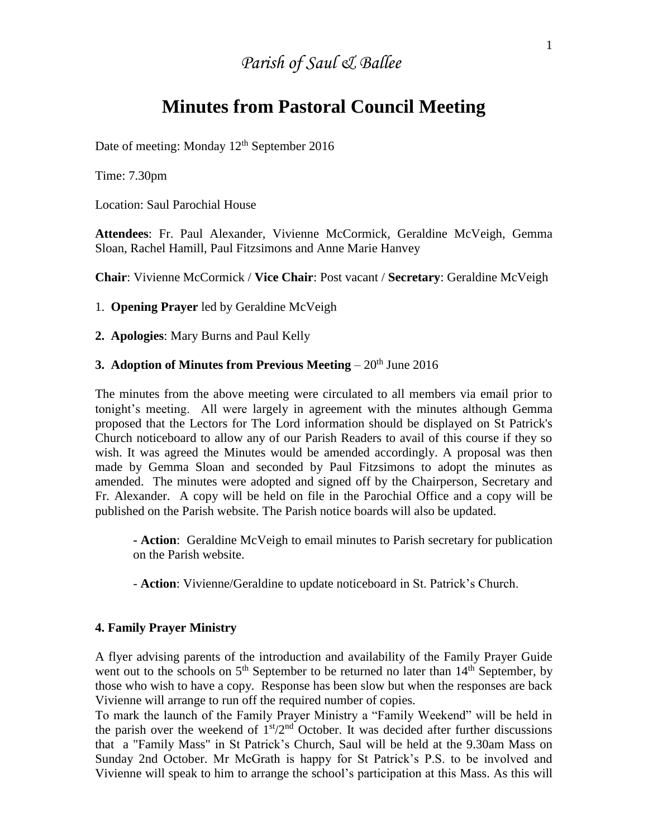# *Parish of Saul & Ballee*

# **Minutes from Pastoral Council Meeting**

Date of meeting: Monday 12<sup>th</sup> September 2016

Time: 7.30pm

Location: Saul Parochial House

**Attendees**: Fr. Paul Alexander, Vivienne McCormick, Geraldine McVeigh, Gemma Sloan, Rachel Hamill, Paul Fitzsimons and Anne Marie Hanvey

**Chair**: Vivienne McCormick / **Vice Chair**: Post vacant / **Secretary**: Geraldine McVeigh

1. **Opening Prayer** led by Geraldine McVeigh

**2. Apologies**: Mary Burns and Paul Kelly

### **3. Adoption of Minutes from Previous Meeting** – 20<sup>th</sup> June 2016

The minutes from the above meeting were circulated to all members via email prior to tonight's meeting. All were largely in agreement with the minutes although Gemma proposed that the Lectors for The Lord information should be displayed on St Patrick's Church noticeboard to allow any of our Parish Readers to avail of this course if they so wish. It was agreed the Minutes would be amended accordingly. A proposal was then made by Gemma Sloan and seconded by Paul Fitzsimons to adopt the minutes as amended. The minutes were adopted and signed off by the Chairperson, Secretary and Fr. Alexander. A copy will be held on file in the Parochial Office and a copy will be published on the Parish website. The Parish notice boards will also be updated.

**- Action**: Geraldine McVeigh to email minutes to Parish secretary for publication on the Parish website.

- **Action**: Vivienne/Geraldine to update noticeboard in St. Patrick's Church.

#### **4. Family Prayer Ministry**

A flyer advising parents of the introduction and availability of the Family Prayer Guide went out to the schools on  $5<sup>th</sup>$  September to be returned no later than  $14<sup>th</sup>$  September, by those who wish to have a copy. Response has been slow but when the responses are back Vivienne will arrange to run off the required number of copies.

To mark the launch of the Family Prayer Ministry a "Family Weekend" will be held in the parish over the weekend of  $1<sup>st</sup>/2<sup>nd</sup>$  October. It was decided after further discussions that a "Family Mass" in St Patrick's Church, Saul will be held at the 9.30am Mass on Sunday 2nd October. Mr McGrath is happy for St Patrick's P.S. to be involved and Vivienne will speak to him to arrange the school's participation at this Mass. As this will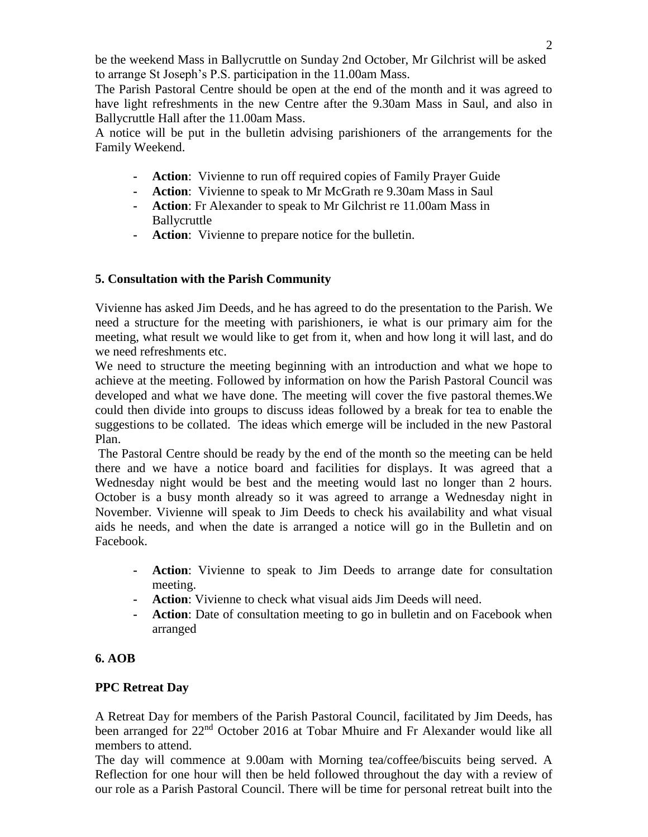be the weekend Mass in Ballycruttle on Sunday 2nd October, Mr Gilchrist will be asked to arrange St Joseph's P.S. participation in the 11.00am Mass.

The Parish Pastoral Centre should be open at the end of the month and it was agreed to have light refreshments in the new Centre after the 9.30am Mass in Saul, and also in Ballycruttle Hall after the 11.00am Mass.

A notice will be put in the bulletin advising parishioners of the arrangements for the Family Weekend.

- **- Action**: Vivienne to run off required copies of Family Prayer Guide
- **- Action**: Vivienne to speak to Mr McGrath re 9.30am Mass in Saul
- **- Action**: Fr Alexander to speak to Mr Gilchrist re 11.00am Mass in Ballycruttle
- **- Action**: Vivienne to prepare notice for the bulletin.

## **5. Consultation with the Parish Community**

Vivienne has asked Jim Deeds, and he has agreed to do the presentation to the Parish. We need a structure for the meeting with parishioners, ie what is our primary aim for the meeting, what result we would like to get from it, when and how long it will last, and do we need refreshments etc.

We need to structure the meeting beginning with an introduction and what we hope to achieve at the meeting. Followed by information on how the Parish Pastoral Council was developed and what we have done. The meeting will cover the five pastoral themes.We could then divide into groups to discuss ideas followed by a break for tea to enable the suggestions to be collated. The ideas which emerge will be included in the new Pastoral Plan.

The Pastoral Centre should be ready by the end of the month so the meeting can be held there and we have a notice board and facilities for displays. It was agreed that a Wednesday night would be best and the meeting would last no longer than 2 hours. October is a busy month already so it was agreed to arrange a Wednesday night in November. Vivienne will speak to Jim Deeds to check his availability and what visual aids he needs, and when the date is arranged a notice will go in the Bulletin and on Facebook.

- **- Action**: Vivienne to speak to Jim Deeds to arrange date for consultation meeting.
- **- Action**: Vivienne to check what visual aids Jim Deeds will need.
- **- Action**: Date of consultation meeting to go in bulletin and on Facebook when arranged

## **6. AOB**

## **PPC Retreat Day**

A Retreat Day for members of the Parish Pastoral Council, facilitated by Jim Deeds, has been arranged for 22<sup>nd</sup> October 2016 at Tobar Mhuire and Fr Alexander would like all members to attend.

The day will commence at 9.00am with Morning tea/coffee/biscuits being served. A Reflection for one hour will then be held followed throughout the day with a review of our role as a Parish Pastoral Council. There will be time for personal retreat built into the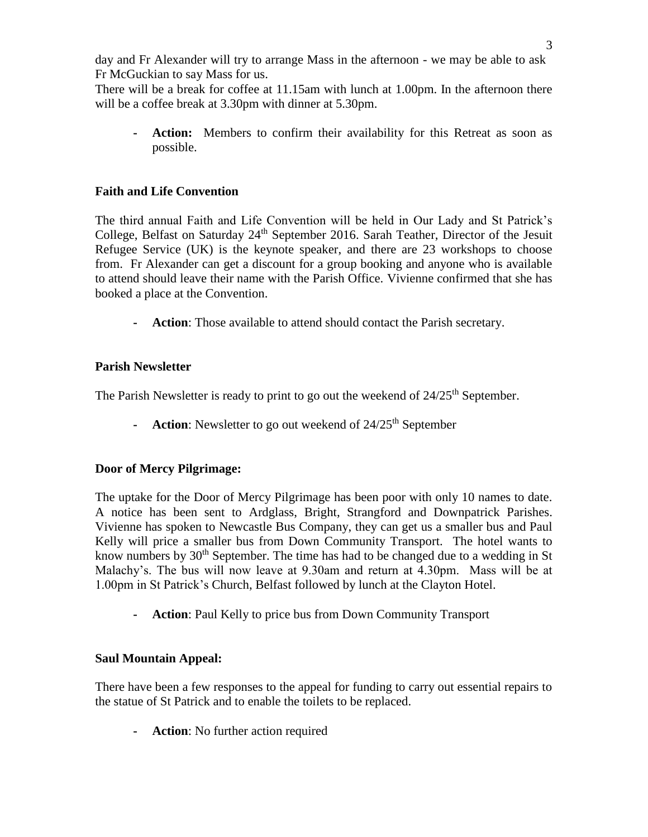day and Fr Alexander will try to arrange Mass in the afternoon - we may be able to ask Fr McGuckian to say Mass for us.

There will be a break for coffee at 11.15am with lunch at 1.00pm. In the afternoon there will be a coffee break at 3.30pm with dinner at 5.30pm.

**- Action:** Members to confirm their availability for this Retreat as soon as possible.

## **Faith and Life Convention**

The third annual Faith and Life Convention will be held in Our Lady and St Patrick's College, Belfast on Saturday 24<sup>th</sup> September 2016. Sarah Teather, Director of the Jesuit Refugee Service (UK) is the keynote speaker, and there are 23 workshops to choose from. Fr Alexander can get a discount for a group booking and anyone who is available to attend should leave their name with the Parish Office. Vivienne confirmed that she has booked a place at the Convention.

**- Action**: Those available to attend should contact the Parish secretary.

# **Parish Newsletter**

The Parish Newsletter is ready to print to go out the weekend of  $24/25<sup>th</sup>$  September.

**- Action**: Newsletter to go out weekend of 24/25<sup>th</sup> September

# **Door of Mercy Pilgrimage:**

The uptake for the Door of Mercy Pilgrimage has been poor with only 10 names to date. A notice has been sent to Ardglass, Bright, Strangford and Downpatrick Parishes. Vivienne has spoken to Newcastle Bus Company, they can get us a smaller bus and Paul Kelly will price a smaller bus from Down Community Transport. The hotel wants to know numbers by 30<sup>th</sup> September. The time has had to be changed due to a wedding in St Malachy's. The bus will now leave at 9.30am and return at 4.30pm. Mass will be at 1.00pm in St Patrick's Church, Belfast followed by lunch at the Clayton Hotel.

**- Action**: Paul Kelly to price bus from Down Community Transport

# **Saul Mountain Appeal:**

There have been a few responses to the appeal for funding to carry out essential repairs to the statue of St Patrick and to enable the toilets to be replaced.

**- Action**: No further action required